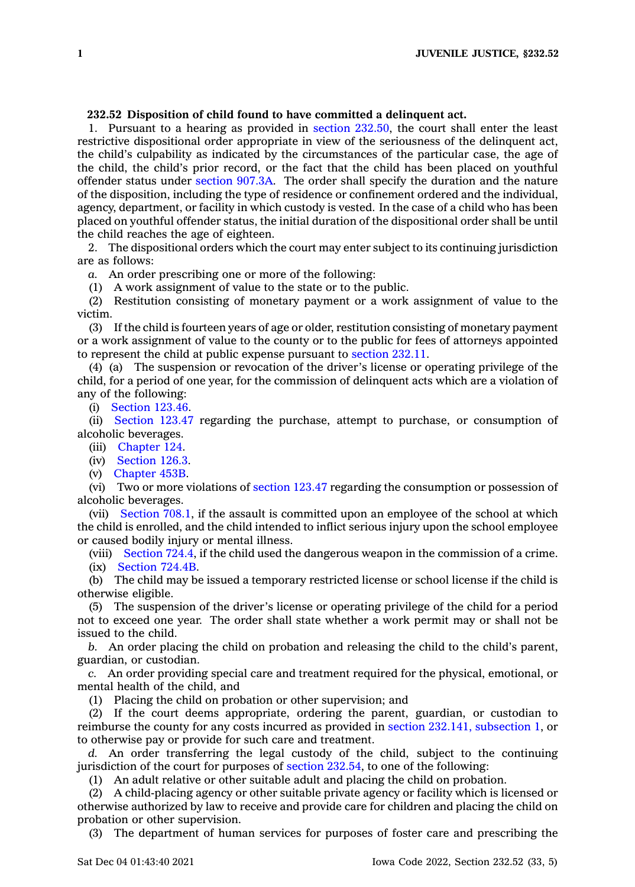## **232.52 Disposition of child found to have committed <sup>a</sup> delinquent act.**

1. Pursuant to <sup>a</sup> hearing as provided in section [232.50](https://www.legis.iowa.gov/docs/code/232.50.pdf), the court shall enter the least restrictive dispositional order appropriate in view of the seriousness of the delinquent act, the child's culpability as indicated by the circumstances of the particular case, the age of the child, the child's prior record, or the fact that the child has been placed on youthful offender status under [section](https://www.legis.iowa.gov/docs/code/907.3A.pdf) 907.3A. The order shall specify the duration and the nature of the disposition, including the type of residence or confinement ordered and the individual, agency, department, or facility in which custody is vested. In the case of <sup>a</sup> child who has been placed on youthful offender status, the initial duration of the dispositional order shall be until the child reaches the age of eighteen.

2. The dispositional orders which the court may enter subject to its continuing jurisdiction are as follows:

*a.* An order prescribing one or more of the following:

(1) A work assignment of value to the state or to the public.

(2) Restitution consisting of monetary payment or <sup>a</sup> work assignment of value to the victim.

(3) If the child is fourteen years of age or older, restitution consisting of monetary payment or <sup>a</sup> work assignment of value to the county or to the public for fees of attorneys appointed to represent the child at public expense pursuant to [section](https://www.legis.iowa.gov/docs/code/232.11.pdf) 232.11.

(4) (a) The suspension or revocation of the driver's license or operating privilege of the child, for <sup>a</sup> period of one year, for the commission of delinquent acts which are <sup>a</sup> violation of any of the following:

(i) [Section](https://www.legis.iowa.gov/docs/code/123.46.pdf) 123.46.

(ii) [Section](https://www.legis.iowa.gov/docs/code/123.47.pdf) 123.47 regarding the purchase, attempt to purchase, or consumption of alcoholic beverages.

(iii) [Chapter](https://www.legis.iowa.gov/docs/code//124.pdf) 124.

(iv) [Section](https://www.legis.iowa.gov/docs/code/126.3.pdf) 126.3.

(v) [Chapter](https://www.legis.iowa.gov/docs/code//453B.pdf) 453B.

(vi) Two or more violations of [section](https://www.legis.iowa.gov/docs/code/123.47.pdf) 123.47 regarding the consumption or possession of alcoholic beverages.

(vii) [Section](https://www.legis.iowa.gov/docs/code/708.1.pdf) 708.1, if the assault is committed upon an employee of the school at which the child is enrolled, and the child intended to inflict serious injury upon the school employee or caused bodily injury or mental illness.

(viii) [Section](https://www.legis.iowa.gov/docs/code/724.4.pdf) 724.4, if the child used the dangerous weapon in the commission of <sup>a</sup> crime. (ix) [Section](https://www.legis.iowa.gov/docs/code/724.4B.pdf) 724.4B.

(b) The child may be issued <sup>a</sup> temporary restricted license or school license if the child is otherwise eligible.

(5) The suspension of the driver's license or operating privilege of the child for <sup>a</sup> period not to exceed one year. The order shall state whether <sup>a</sup> work permit may or shall not be issued to the child.

*b.* An order placing the child on probation and releasing the child to the child's parent, guardian, or custodian.

*c.* An order providing special care and treatment required for the physical, emotional, or mental health of the child, and

(1) Placing the child on probation or other supervision; and

(2) If the court deems appropriate, ordering the parent, guardian, or custodian to reimburse the county for any costs incurred as provided in section 232.141, [subsection](https://www.legis.iowa.gov/docs/code/232.141.pdf) 1, or to otherwise pay or provide for such care and treatment.

*d.* An order transferring the legal custody of the child, subject to the continuing jurisdiction of the court for purposes of section [232.54](https://www.legis.iowa.gov/docs/code/232.54.pdf), to one of the following:

(1) An adult relative or other suitable adult and placing the child on probation.

(2) A child-placing agency or other suitable private agency or facility which is licensed or otherwise authorized by law to receive and provide care for children and placing the child on probation or other supervision.

(3) The department of human services for purposes of foster care and prescribing the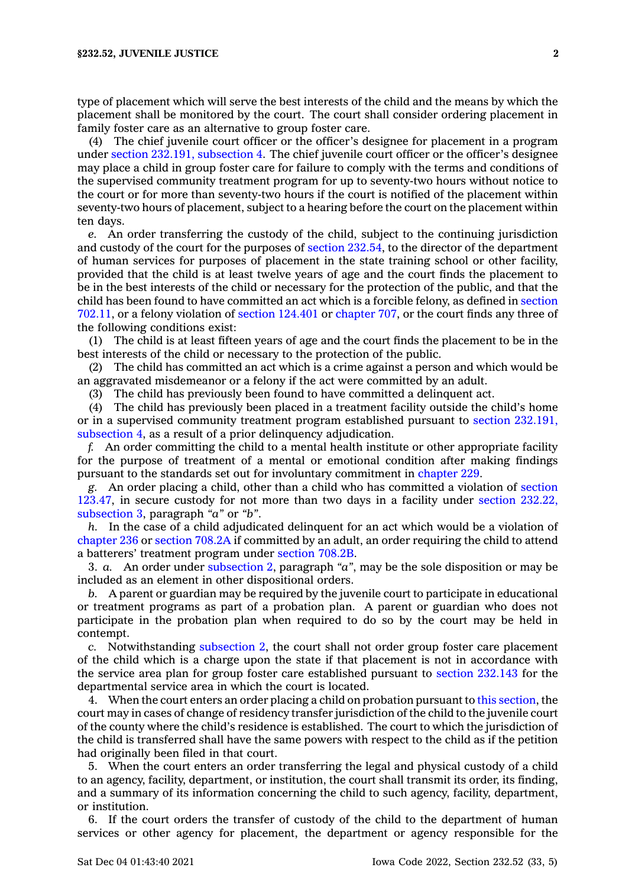type of placement which will serve the best interests of the child and the means by which the placement shall be monitored by the court. The court shall consider ordering placement in family foster care as an alternative to group foster care.

(4) The chief juvenile court officer or the officer's designee for placement in <sup>a</sup> program under section 232.191, [subsection](https://www.legis.iowa.gov/docs/code/232.191.pdf) 4. The chief juvenile court officer or the officer's designee may place <sup>a</sup> child in group foster care for failure to comply with the terms and conditions of the supervised community treatment program for up to seventy-two hours without notice to the court or for more than seventy-two hours if the court is notified of the placement within seventy-two hours of placement, subject to <sup>a</sup> hearing before the court on the placement within ten days.

*e.* An order transferring the custody of the child, subject to the continuing jurisdiction and custody of the court for the purposes of section [232.54](https://www.legis.iowa.gov/docs/code/232.54.pdf), to the director of the department of human services for purposes of placement in the state training school or other facility, provided that the child is at least twelve years of age and the court finds the placement to be in the best interests of the child or necessary for the protection of the public, and that the child has been found to have committed an act which is <sup>a</sup> forcible felony, as defined in [section](https://www.legis.iowa.gov/docs/code/702.11.pdf) [702.11](https://www.legis.iowa.gov/docs/code/702.11.pdf), or <sup>a</sup> felony violation of section [124.401](https://www.legis.iowa.gov/docs/code/124.401.pdf) or [chapter](https://www.legis.iowa.gov/docs/code//707.pdf) 707, or the court finds any three of the following conditions exist:

(1) The child is at least fifteen years of age and the court finds the placement to be in the best interests of the child or necessary to the protection of the public.

(2) The child has committed an act which is <sup>a</sup> crime against <sup>a</sup> person and which would be an aggravated misdemeanor or <sup>a</sup> felony if the act were committed by an adult.

(3) The child has previously been found to have committed <sup>a</sup> delinquent act.

(4) The child has previously been placed in <sup>a</sup> treatment facility outside the child's home or in <sup>a</sup> supervised community treatment program established pursuant to section [232.191,](https://www.legis.iowa.gov/docs/code/232.191.pdf) [subsection](https://www.legis.iowa.gov/docs/code/232.191.pdf) 4, as <sup>a</sup> result of <sup>a</sup> prior delinquency adjudication.

*f.* An order committing the child to <sup>a</sup> mental health institute or other appropriate facility for the purpose of treatment of <sup>a</sup> mental or emotional condition after making findings pursuant to the standards set out for involuntary commitment in [chapter](https://www.legis.iowa.gov/docs/code//229.pdf) 229.

*g.* An order placing <sup>a</sup> child, other than <sup>a</sup> child who has committed <sup>a</sup> violation of [section](https://www.legis.iowa.gov/docs/code/123.47.pdf) [123.47](https://www.legis.iowa.gov/docs/code/123.47.pdf), in secure custody for not more than two days in <sup>a</sup> facility under section [232.22,](https://www.legis.iowa.gov/docs/code/232.22.pdf) [subsection](https://www.legis.iowa.gov/docs/code/232.22.pdf) 3, paragraph *"a"* or *"b"*.

*h.* In the case of <sup>a</sup> child adjudicated delinquent for an act which would be <sup>a</sup> violation of [chapter](https://www.legis.iowa.gov/docs/code//236.pdf) 236 or [section](https://www.legis.iowa.gov/docs/code/708.2A.pdf) 708.2A if committed by an adult, an order requiring the child to attend <sup>a</sup> batterers' treatment program under [section](https://www.legis.iowa.gov/docs/code/708.2B.pdf) 708.2B.

3. *a.* An order under [subsection](https://www.legis.iowa.gov/docs/code/232.52.pdf) 2, paragraph *"a"*, may be the sole disposition or may be included as an element in other dispositional orders.

*b.* A parent or guardian may be required by the juvenile court to participate in educational or treatment programs as part of <sup>a</sup> probation plan. A parent or guardian who does not participate in the probation plan when required to do so by the court may be held in contempt.

*c.* Notwithstanding [subsection](https://www.legis.iowa.gov/docs/code/232.52.pdf) 2, the court shall not order group foster care placement of the child which is <sup>a</sup> charge upon the state if that placement is not in accordance with the service area plan for group foster care established pursuant to section [232.143](https://www.legis.iowa.gov/docs/code/232.143.pdf) for the departmental service area in which the court is located.

4. When the court enters an order placing <sup>a</sup> child on probation pursuant to this [section](https://www.legis.iowa.gov/docs/code/232.52.pdf), the court may in cases of change of residency transfer jurisdiction of the child to the juvenile court of the county where the child's residence is established. The court to which the jurisdiction of the child is transferred shall have the same powers with respect to the child as if the petition had originally been filed in that court.

5. When the court enters an order transferring the legal and physical custody of <sup>a</sup> child to an agency, facility, department, or institution, the court shall transmit its order, its finding, and <sup>a</sup> summary of its information concerning the child to such agency, facility, department, or institution.

6. If the court orders the transfer of custody of the child to the department of human services or other agency for placement, the department or agency responsible for the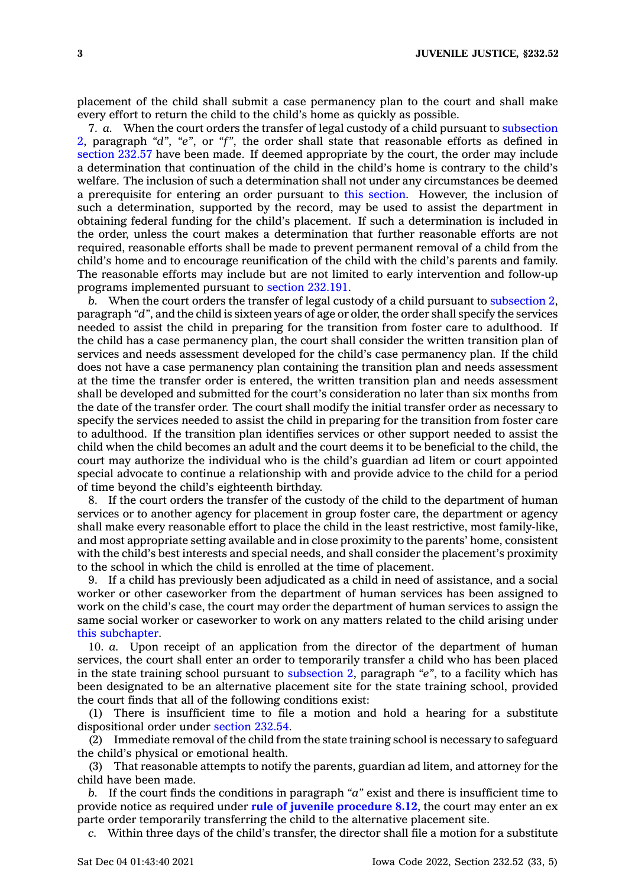placement of the child shall submit <sup>a</sup> case permanency plan to the court and shall make every effort to return the child to the child's home as quickly as possible.

7. *a.* When the court orders the transfer of legal custody of <sup>a</sup> child pursuant to [subsection](https://www.legis.iowa.gov/docs/code/232.52.pdf) [2](https://www.legis.iowa.gov/docs/code/232.52.pdf), paragraph *"d"*, *"e"*, or *"f"*, the order shall state that reasonable efforts as defined in [section](https://www.legis.iowa.gov/docs/code/232.57.pdf) 232.57 have been made. If deemed appropriate by the court, the order may include <sup>a</sup> determination that continuation of the child in the child's home is contrary to the child's welfare. The inclusion of such <sup>a</sup> determination shall not under any circumstances be deemed <sup>a</sup> prerequisite for entering an order pursuant to this [section](https://www.legis.iowa.gov/docs/code/232.52.pdf). However, the inclusion of such <sup>a</sup> determination, supported by the record, may be used to assist the department in obtaining federal funding for the child's placement. If such <sup>a</sup> determination is included in the order, unless the court makes <sup>a</sup> determination that further reasonable efforts are not required, reasonable efforts shall be made to prevent permanent removal of <sup>a</sup> child from the child's home and to encourage reunification of the child with the child's parents and family. The reasonable efforts may include but are not limited to early intervention and follow-up programs implemented pursuant to section [232.191](https://www.legis.iowa.gov/docs/code/232.191.pdf).

*b.* When the court orders the transfer of legal custody of <sup>a</sup> child pursuant to [subsection](https://www.legis.iowa.gov/docs/code/232.52.pdf) 2, paragraph *"d"*, and the child is sixteen years of age or older, the order shall specify the services needed to assist the child in preparing for the transition from foster care to adulthood. If the child has <sup>a</sup> case permanency plan, the court shall consider the written transition plan of services and needs assessment developed for the child's case permanency plan. If the child does not have <sup>a</sup> case permanency plan containing the transition plan and needs assessment at the time the transfer order is entered, the written transition plan and needs assessment shall be developed and submitted for the court's consideration no later than six months from the date of the transfer order. The court shall modify the initial transfer order as necessary to specify the services needed to assist the child in preparing for the transition from foster care to adulthood. If the transition plan identifies services or other support needed to assist the child when the child becomes an adult and the court deems it to be beneficial to the child, the court may authorize the individual who is the child's guardian ad litem or court appointed special advocate to continue <sup>a</sup> relationship with and provide advice to the child for <sup>a</sup> period of time beyond the child's eighteenth birthday.

8. If the court orders the transfer of the custody of the child to the department of human services or to another agency for placement in group foster care, the department or agency shall make every reasonable effort to place the child in the least restrictive, most family-like, and most appropriate setting available and in close proximity to the parents' home, consistent with the child's best interests and special needs, and shall consider the placement's proximity to the school in which the child is enrolled at the time of placement.

9. If <sup>a</sup> child has previously been adjudicated as <sup>a</sup> child in need of assistance, and <sup>a</sup> social worker or other caseworker from the department of human services has been assigned to work on the child's case, the court may order the department of human services to assign the same social worker or caseworker to work on any matters related to the child arising under this [subchapter](https://www.legis.iowa.gov/docs/code//232.pdf).

10. *a.* Upon receipt of an application from the director of the department of human services, the court shall enter an order to temporarily transfer <sup>a</sup> child who has been placed in the state training school pursuant to [subsection](https://www.legis.iowa.gov/docs/code/232.52.pdf) 2, paragraph *"e"*, to <sup>a</sup> facility which has been designated to be an alternative placement site for the state training school, provided the court finds that all of the following conditions exist:

(1) There is insufficient time to file <sup>a</sup> motion and hold <sup>a</sup> hearing for <sup>a</sup> substitute dispositional order under [section](https://www.legis.iowa.gov/docs/code/232.54.pdf) 232.54.

(2) Immediate removal of the child from the state training school is necessary to safeguard the child's physical or emotional health.

(3) That reasonable attempts to notify the parents, guardian ad litem, and attorney for the child have been made.

*b.* If the court finds the conditions in paragraph *"a"* exist and there is insufficient time to provide notice as required under **rule of juvenile [procedure](https://www.legis.iowa.gov/docs/ACO/CourtRulesChapter/8.pdf) 8.12**, the court may enter an ex parte order temporarily transferring the child to the alternative placement site.

*c.* Within three days of the child's transfer, the director shall file <sup>a</sup> motion for <sup>a</sup> substitute